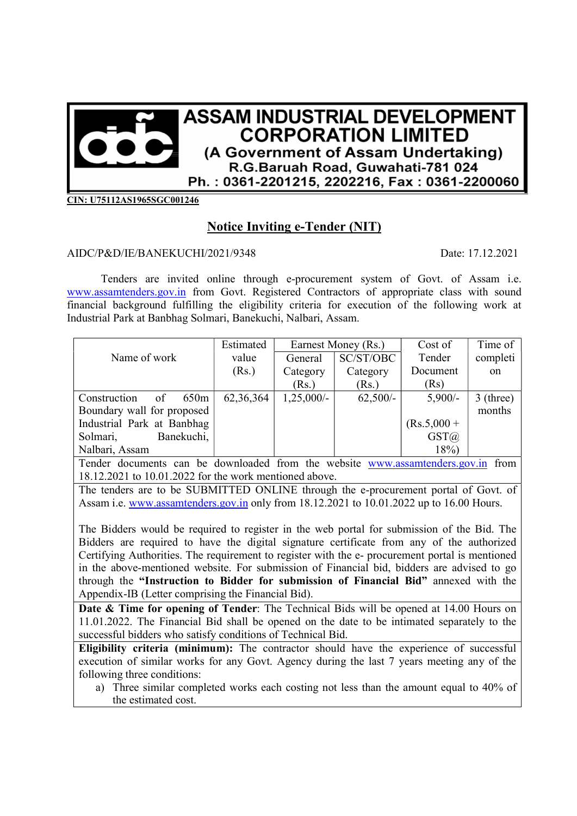

CIN: U75112AS1965SGC001246

## Notice Inviting e-Tender (NIT)

## AIDC/P&D/IE/BANEKUCHI/2021/9348 Date: 17.12.2021

Tenders are invited online through e-procurement system of Govt. of Assam i.e. www.assamtenders.gov.in from Govt. Registered Contractors of appropriate class with sound financial background fulfilling the eligibility criteria for execution of the following work at Industrial Park at Banbhag Solmari, Banekuchi, Nalbari, Assam.

|                                        | Estimated | Earnest Money (Rs.) |            | Cost of       | Time of     |
|----------------------------------------|-----------|---------------------|------------|---------------|-------------|
| Name of work                           | value     | General             | SC/ST/OBC  | Tender        | completi    |
|                                        | (Rs.)     | Category            | Category   | Document      | on          |
|                                        |           | (Rs.)               | (Rs.)      | (Rs)          |             |
| 650 <sub>m</sub><br>Construction<br>of | 62,36,364 | $1,25,000/-$        | $62,500/-$ | $5,900/-$     | $3$ (three) |
| Boundary wall for proposed             |           |                     |            |               | months      |
| Industrial Park at Banbhag             |           |                     |            | $(Rs.5,000 +$ |             |
| Banekuchi,<br>Solmari,                 |           |                     |            | GST(a)        |             |
| Nalbari, Assam                         |           |                     |            | 18%           |             |
| $-1$ $1$                               | 110       | $\cdot$ 1           |            |               |             |

Tender documents can be downloaded from the website www.assamtenders.gov.in from 18.12.2021 to 10.01.2022 for the work mentioned above.

The tenders are to be SUBMITTED ONLINE through the e-procurement portal of Govt. of Assam i.e. www.assamtenders.gov.in only from 18.12.2021 to 10.01.2022 up to 16.00 Hours.

The Bidders would be required to register in the web portal for submission of the Bid. The Bidders are required to have the digital signature certificate from any of the authorized Certifying Authorities. The requirement to register with the e- procurement portal is mentioned in the above-mentioned website. For submission of Financial bid, bidders are advised to go through the "Instruction to Bidder for submission of Financial Bid" annexed with the Appendix-IB (Letter comprising the Financial Bid).

Date & Time for opening of Tender: The Technical Bids will be opened at 14.00 Hours on 11.01.2022. The Financial Bid shall be opened on the date to be intimated separately to the successful bidders who satisfy conditions of Technical Bid.

Eligibility criteria (minimum): The contractor should have the experience of successful execution of similar works for any Govt. Agency during the last 7 years meeting any of the following three conditions:

a) Three similar completed works each costing not less than the amount equal to 40% of the estimated cost.